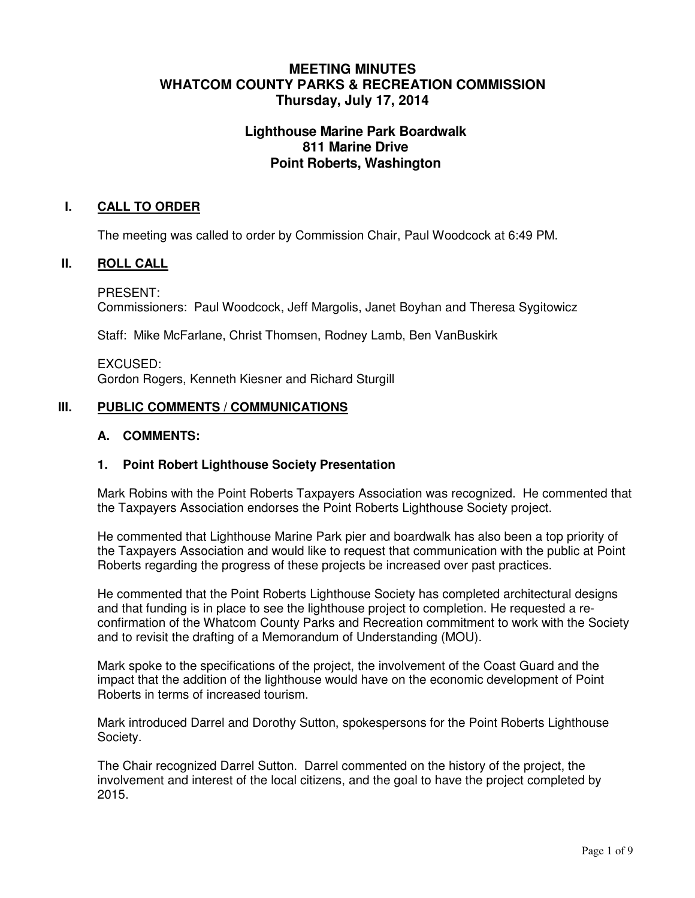# **MEETING MINUTES WHATCOM COUNTY PARKS & RECREATION COMMISSION Thursday, July 17, 2014**

# **Lighthouse Marine Park Boardwalk 811 Marine Drive Point Roberts, Washington**

## **I. CALL TO ORDER**

The meeting was called to order by Commission Chair, Paul Woodcock at 6:49 PM.

#### **II. ROLL CALL**

PRESENT: Commissioners: Paul Woodcock, Jeff Margolis, Janet Boyhan and Theresa Sygitowicz

Staff: Mike McFarlane, Christ Thomsen, Rodney Lamb, Ben VanBuskirk

EXCUSED: Gordon Rogers, Kenneth Kiesner and Richard Sturgill

## **III. PUBLIC COMMENTS / COMMUNICATIONS**

#### **A. COMMENTS:**

#### **1. Point Robert Lighthouse Society Presentation**

Mark Robins with the Point Roberts Taxpayers Association was recognized. He commented that the Taxpayers Association endorses the Point Roberts Lighthouse Society project.

He commented that Lighthouse Marine Park pier and boardwalk has also been a top priority of the Taxpayers Association and would like to request that communication with the public at Point Roberts regarding the progress of these projects be increased over past practices.

He commented that the Point Roberts Lighthouse Society has completed architectural designs and that funding is in place to see the lighthouse project to completion. He requested a reconfirmation of the Whatcom County Parks and Recreation commitment to work with the Society and to revisit the drafting of a Memorandum of Understanding (MOU).

Mark spoke to the specifications of the project, the involvement of the Coast Guard and the impact that the addition of the lighthouse would have on the economic development of Point Roberts in terms of increased tourism.

Mark introduced Darrel and Dorothy Sutton, spokespersons for the Point Roberts Lighthouse Society.

The Chair recognized Darrel Sutton. Darrel commented on the history of the project, the involvement and interest of the local citizens, and the goal to have the project completed by 2015.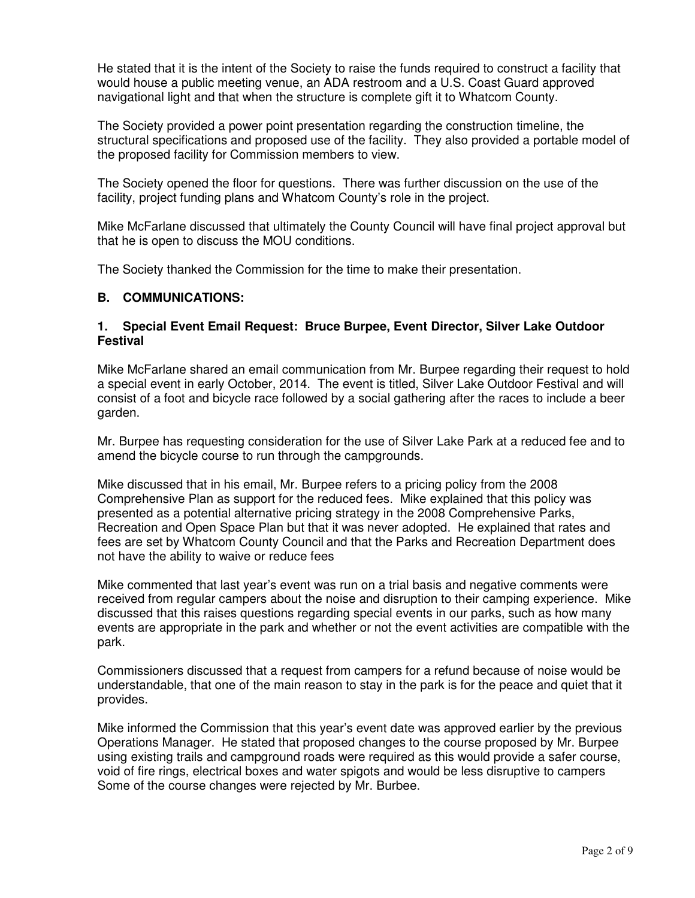He stated that it is the intent of the Society to raise the funds required to construct a facility that would house a public meeting venue, an ADA restroom and a U.S. Coast Guard approved navigational light and that when the structure is complete gift it to Whatcom County.

The Society provided a power point presentation regarding the construction timeline, the structural specifications and proposed use of the facility. They also provided a portable model of the proposed facility for Commission members to view.

The Society opened the floor for questions. There was further discussion on the use of the facility, project funding plans and Whatcom County's role in the project.

Mike McFarlane discussed that ultimately the County Council will have final project approval but that he is open to discuss the MOU conditions.

The Society thanked the Commission for the time to make their presentation.

#### **B. COMMUNICATIONS:**

#### **1. Special Event Email Request: Bruce Burpee, Event Director, Silver Lake Outdoor Festival**

Mike McFarlane shared an email communication from Mr. Burpee regarding their request to hold a special event in early October, 2014. The event is titled, Silver Lake Outdoor Festival and will consist of a foot and bicycle race followed by a social gathering after the races to include a beer garden.

Mr. Burpee has requesting consideration for the use of Silver Lake Park at a reduced fee and to amend the bicycle course to run through the campgrounds.

Mike discussed that in his email, Mr. Burpee refers to a pricing policy from the 2008 Comprehensive Plan as support for the reduced fees. Mike explained that this policy was presented as a potential alternative pricing strategy in the 2008 Comprehensive Parks, Recreation and Open Space Plan but that it was never adopted. He explained that rates and fees are set by Whatcom County Council and that the Parks and Recreation Department does not have the ability to waive or reduce fees

Mike commented that last year's event was run on a trial basis and negative comments were received from regular campers about the noise and disruption to their camping experience. Mike discussed that this raises questions regarding special events in our parks, such as how many events are appropriate in the park and whether or not the event activities are compatible with the park.

Commissioners discussed that a request from campers for a refund because of noise would be understandable, that one of the main reason to stay in the park is for the peace and quiet that it provides.

Mike informed the Commission that this year's event date was approved earlier by the previous Operations Manager. He stated that proposed changes to the course proposed by Mr. Burpee using existing trails and campground roads were required as this would provide a safer course, void of fire rings, electrical boxes and water spigots and would be less disruptive to campers Some of the course changes were rejected by Mr. Burbee.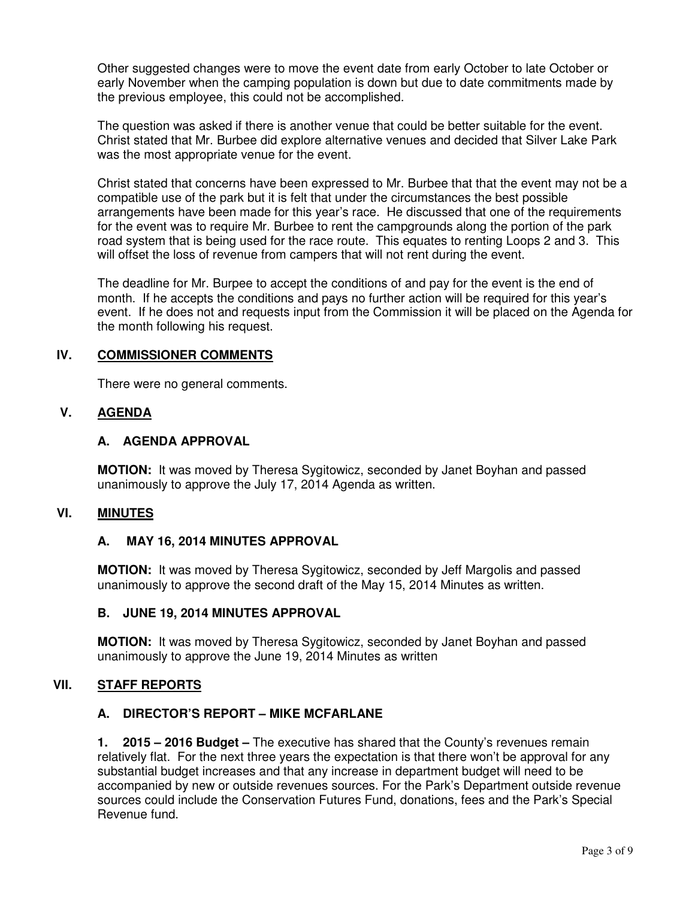Other suggested changes were to move the event date from early October to late October or early November when the camping population is down but due to date commitments made by the previous employee, this could not be accomplished.

The question was asked if there is another venue that could be better suitable for the event. Christ stated that Mr. Burbee did explore alternative venues and decided that Silver Lake Park was the most appropriate venue for the event.

Christ stated that concerns have been expressed to Mr. Burbee that that the event may not be a compatible use of the park but it is felt that under the circumstances the best possible arrangements have been made for this year's race. He discussed that one of the requirements for the event was to require Mr. Burbee to rent the campgrounds along the portion of the park road system that is being used for the race route. This equates to renting Loops 2 and 3. This will offset the loss of revenue from campers that will not rent during the event.

The deadline for Mr. Burpee to accept the conditions of and pay for the event is the end of month. If he accepts the conditions and pays no further action will be required for this year's event. If he does not and requests input from the Commission it will be placed on the Agenda for the month following his request.

## **IV. COMMISSIONER COMMENTS**

There were no general comments.

## **V. AGENDA**

## **A. AGENDA APPROVAL**

**MOTION:** It was moved by Theresa Sygitowicz, seconded by Janet Boyhan and passed unanimously to approve the July 17, 2014 Agenda as written.

## **VI. MINUTES**

## **A. MAY 16, 2014 MINUTES APPROVAL**

**MOTION:** It was moved by Theresa Sygitowicz, seconded by Jeff Margolis and passed unanimously to approve the second draft of the May 15, 2014 Minutes as written.

## **B. JUNE 19, 2014 MINUTES APPROVAL**

**MOTION:** It was moved by Theresa Sygitowicz, seconded by Janet Boyhan and passed unanimously to approve the June 19, 2014 Minutes as written

## **VII. STAFF REPORTS**

#### **A. DIRECTOR'S REPORT – MIKE MCFARLANE**

**1. 2015 – 2016 Budget –** The executive has shared that the County's revenues remain relatively flat. For the next three years the expectation is that there won't be approval for any substantial budget increases and that any increase in department budget will need to be accompanied by new or outside revenues sources. For the Park's Department outside revenue sources could include the Conservation Futures Fund, donations, fees and the Park's Special Revenue fund.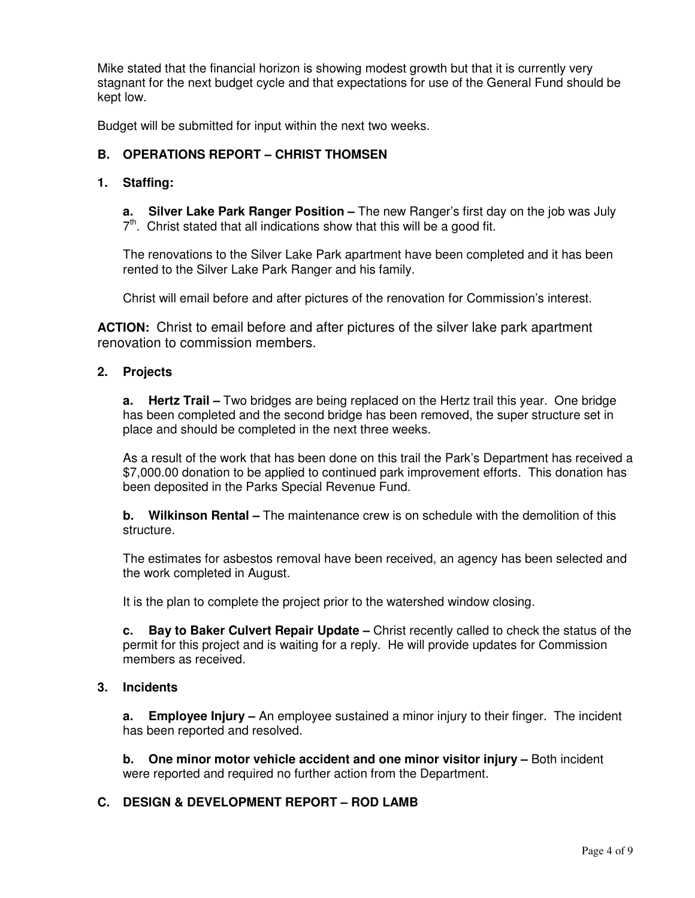Mike stated that the financial horizon is showing modest growth but that it is currently very stagnant for the next budget cycle and that expectations for use of the General Fund should be kept low.

Budget will be submitted for input within the next two weeks.

# **B. OPERATIONS REPORT – CHRIST THOMSEN**

#### **1. Staffing:**

**a. Silver Lake Park Ranger Position –** The new Ranger's first day on the job was July  $7<sup>th</sup>$ . Christ stated that all indications show that this will be a good fit.

The renovations to the Silver Lake Park apartment have been completed and it has been rented to the Silver Lake Park Ranger and his family.

Christ will email before and after pictures of the renovation for Commission's interest.

**ACTION:** Christ to email before and after pictures of the silver lake park apartment renovation to commission members.

#### **2. Projects**

**a. Hertz Trail –** Two bridges are being replaced on the Hertz trail this year. One bridge has been completed and the second bridge has been removed, the super structure set in place and should be completed in the next three weeks.

As a result of the work that has been done on this trail the Park's Department has received a \$7,000.00 donation to be applied to continued park improvement efforts. This donation has been deposited in the Parks Special Revenue Fund.

**b. Wilkinson Rental –** The maintenance crew is on schedule with the demolition of this structure.

The estimates for asbestos removal have been received, an agency has been selected and the work completed in August.

It is the plan to complete the project prior to the watershed window closing.

**c. Bay to Baker Culvert Repair Update –** Christ recently called to check the status of the permit for this project and is waiting for a reply. He will provide updates for Commission members as received.

#### **3. Incidents**

**a. Employee Injury –** An employee sustained a minor injury to their finger. The incident has been reported and resolved.

**b.** One minor motor vehicle accident and one minor visitor injury – Both incident were reported and required no further action from the Department.

## **C. DESIGN & DEVELOPMENT REPORT – ROD LAMB**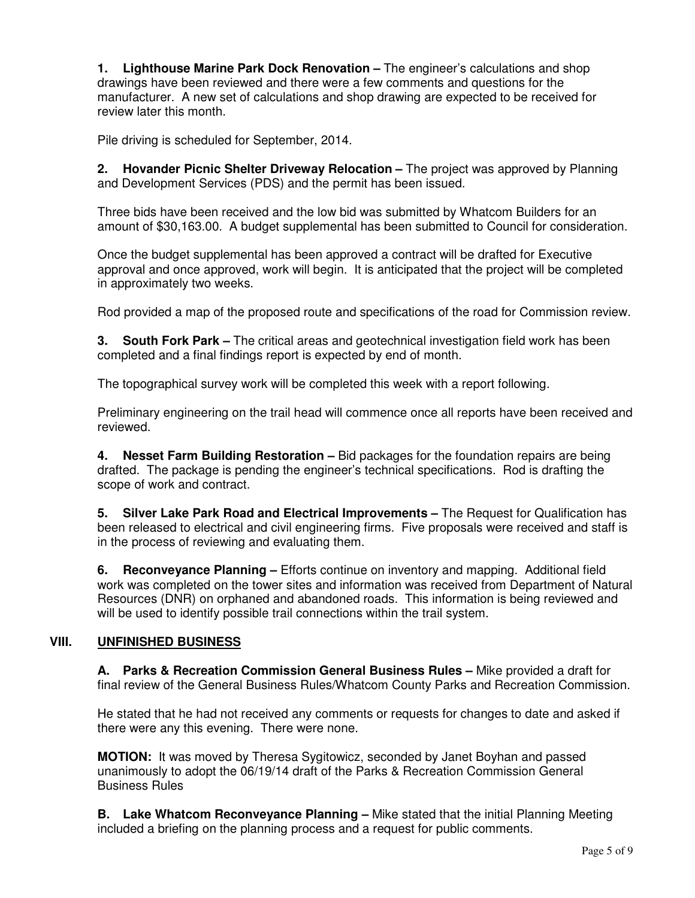**1. Lighthouse Marine Park Dock Renovation –** The engineer's calculations and shop drawings have been reviewed and there were a few comments and questions for the manufacturer. A new set of calculations and shop drawing are expected to be received for review later this month.

Pile driving is scheduled for September, 2014.

**2. Hovander Picnic Shelter Driveway Relocation –** The project was approved by Planning and Development Services (PDS) and the permit has been issued.

Three bids have been received and the low bid was submitted by Whatcom Builders for an amount of \$30,163.00. A budget supplemental has been submitted to Council for consideration.

Once the budget supplemental has been approved a contract will be drafted for Executive approval and once approved, work will begin. It is anticipated that the project will be completed in approximately two weeks.

Rod provided a map of the proposed route and specifications of the road for Commission review.

**3. South Fork Park –** The critical areas and geotechnical investigation field work has been completed and a final findings report is expected by end of month.

The topographical survey work will be completed this week with a report following.

Preliminary engineering on the trail head will commence once all reports have been received and reviewed.

**4. Nesset Farm Building Restoration –** Bid packages for the foundation repairs are being drafted. The package is pending the engineer's technical specifications. Rod is drafting the scope of work and contract.

**5. Silver Lake Park Road and Electrical Improvements –** The Request for Qualification has been released to electrical and civil engineering firms. Five proposals were received and staff is in the process of reviewing and evaluating them.

**6. Reconveyance Planning –** Efforts continue on inventory and mapping. Additional field work was completed on the tower sites and information was received from Department of Natural Resources (DNR) on orphaned and abandoned roads. This information is being reviewed and will be used to identify possible trail connections within the trail system.

# **VIII. UNFINISHED BUSINESS**

**A. Parks & Recreation Commission General Business Rules –** Mike provided a draft for final review of the General Business Rules/Whatcom County Parks and Recreation Commission.

He stated that he had not received any comments or requests for changes to date and asked if there were any this evening. There were none.

**MOTION:** It was moved by Theresa Sygitowicz, seconded by Janet Boyhan and passed unanimously to adopt the 06/19/14 draft of the Parks & Recreation Commission General Business Rules

**B.** Lake Whatcom Reconveyance Planning – Mike stated that the initial Planning Meeting included a briefing on the planning process and a request for public comments.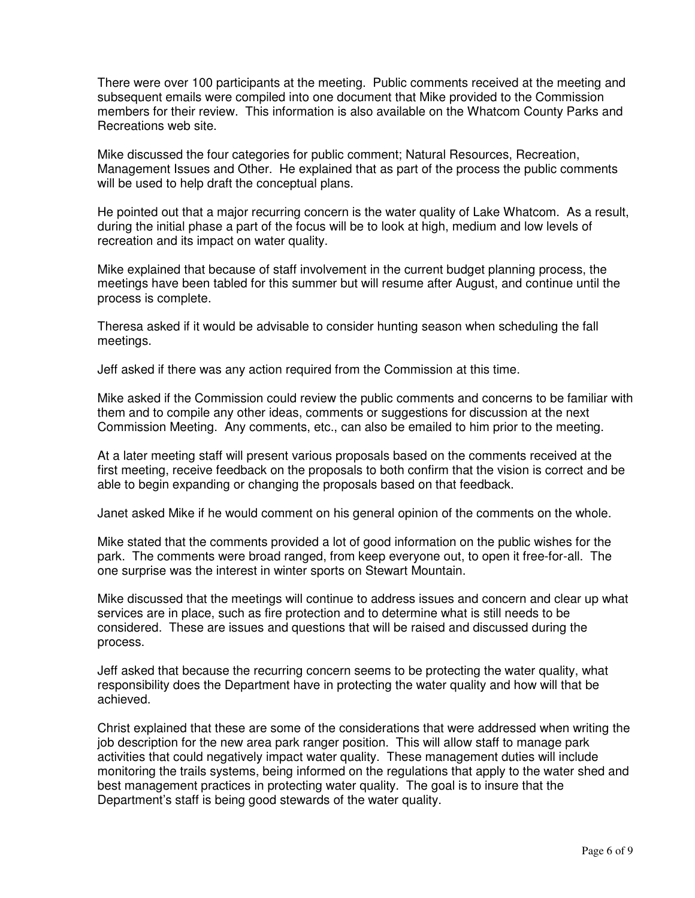There were over 100 participants at the meeting. Public comments received at the meeting and subsequent emails were compiled into one document that Mike provided to the Commission members for their review. This information is also available on the Whatcom County Parks and Recreations web site.

Mike discussed the four categories for public comment; Natural Resources, Recreation, Management Issues and Other. He explained that as part of the process the public comments will be used to help draft the conceptual plans.

He pointed out that a major recurring concern is the water quality of Lake Whatcom. As a result, during the initial phase a part of the focus will be to look at high, medium and low levels of recreation and its impact on water quality.

Mike explained that because of staff involvement in the current budget planning process, the meetings have been tabled for this summer but will resume after August, and continue until the process is complete.

Theresa asked if it would be advisable to consider hunting season when scheduling the fall meetings.

Jeff asked if there was any action required from the Commission at this time.

Mike asked if the Commission could review the public comments and concerns to be familiar with them and to compile any other ideas, comments or suggestions for discussion at the next Commission Meeting. Any comments, etc., can also be emailed to him prior to the meeting.

At a later meeting staff will present various proposals based on the comments received at the first meeting, receive feedback on the proposals to both confirm that the vision is correct and be able to begin expanding or changing the proposals based on that feedback.

Janet asked Mike if he would comment on his general opinion of the comments on the whole.

Mike stated that the comments provided a lot of good information on the public wishes for the park. The comments were broad ranged, from keep everyone out, to open it free-for-all. The one surprise was the interest in winter sports on Stewart Mountain.

Mike discussed that the meetings will continue to address issues and concern and clear up what services are in place, such as fire protection and to determine what is still needs to be considered. These are issues and questions that will be raised and discussed during the process.

Jeff asked that because the recurring concern seems to be protecting the water quality, what responsibility does the Department have in protecting the water quality and how will that be achieved.

Christ explained that these are some of the considerations that were addressed when writing the job description for the new area park ranger position. This will allow staff to manage park activities that could negatively impact water quality. These management duties will include monitoring the trails systems, being informed on the regulations that apply to the water shed and best management practices in protecting water quality. The goal is to insure that the Department's staff is being good stewards of the water quality.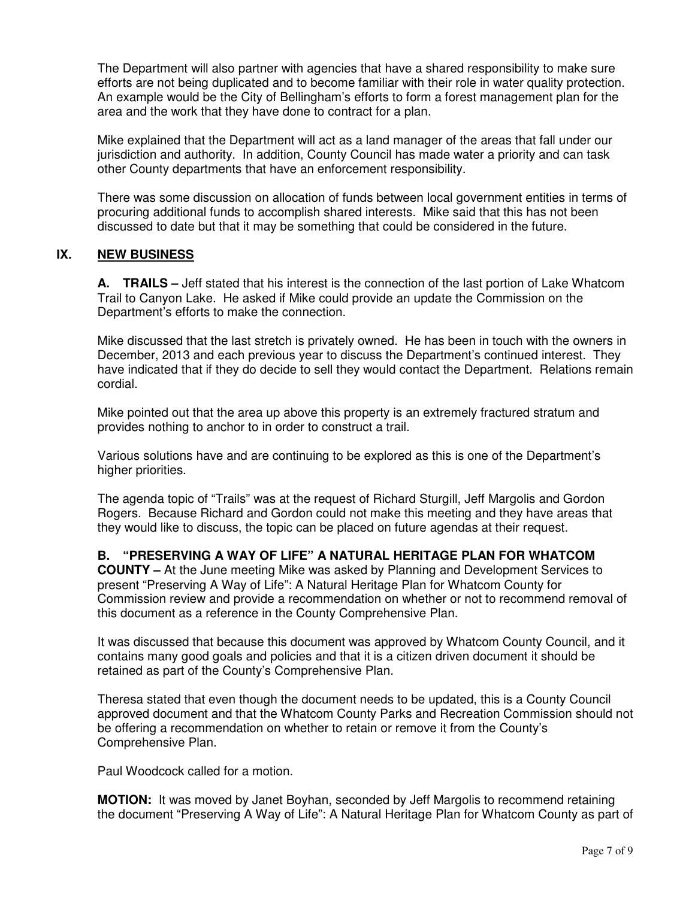The Department will also partner with agencies that have a shared responsibility to make sure efforts are not being duplicated and to become familiar with their role in water quality protection. An example would be the City of Bellingham's efforts to form a forest management plan for the area and the work that they have done to contract for a plan.

Mike explained that the Department will act as a land manager of the areas that fall under our jurisdiction and authority. In addition, County Council has made water a priority and can task other County departments that have an enforcement responsibility.

There was some discussion on allocation of funds between local government entities in terms of procuring additional funds to accomplish shared interests. Mike said that this has not been discussed to date but that it may be something that could be considered in the future.

# **IX. NEW BUSINESS**

**A. TRAILS –** Jeff stated that his interest is the connection of the last portion of Lake Whatcom Trail to Canyon Lake. He asked if Mike could provide an update the Commission on the Department's efforts to make the connection.

Mike discussed that the last stretch is privately owned. He has been in touch with the owners in December, 2013 and each previous year to discuss the Department's continued interest. They have indicated that if they do decide to sell they would contact the Department. Relations remain cordial.

Mike pointed out that the area up above this property is an extremely fractured stratum and provides nothing to anchor to in order to construct a trail.

Various solutions have and are continuing to be explored as this is one of the Department's higher priorities.

The agenda topic of "Trails" was at the request of Richard Sturgill, Jeff Margolis and Gordon Rogers. Because Richard and Gordon could not make this meeting and they have areas that they would like to discuss, the topic can be placed on future agendas at their request.

## **B. "PRESERVING A WAY OF LIFE" A NATURAL HERITAGE PLAN FOR WHATCOM**

**COUNTY –** At the June meeting Mike was asked by Planning and Development Services to present "Preserving A Way of Life": A Natural Heritage Plan for Whatcom County for Commission review and provide a recommendation on whether or not to recommend removal of this document as a reference in the County Comprehensive Plan.

It was discussed that because this document was approved by Whatcom County Council, and it contains many good goals and policies and that it is a citizen driven document it should be retained as part of the County's Comprehensive Plan.

Theresa stated that even though the document needs to be updated, this is a County Council approved document and that the Whatcom County Parks and Recreation Commission should not be offering a recommendation on whether to retain or remove it from the County's Comprehensive Plan.

Paul Woodcock called for a motion.

**MOTION:** It was moved by Janet Boyhan, seconded by Jeff Margolis to recommend retaining the document "Preserving A Way of Life": A Natural Heritage Plan for Whatcom County as part of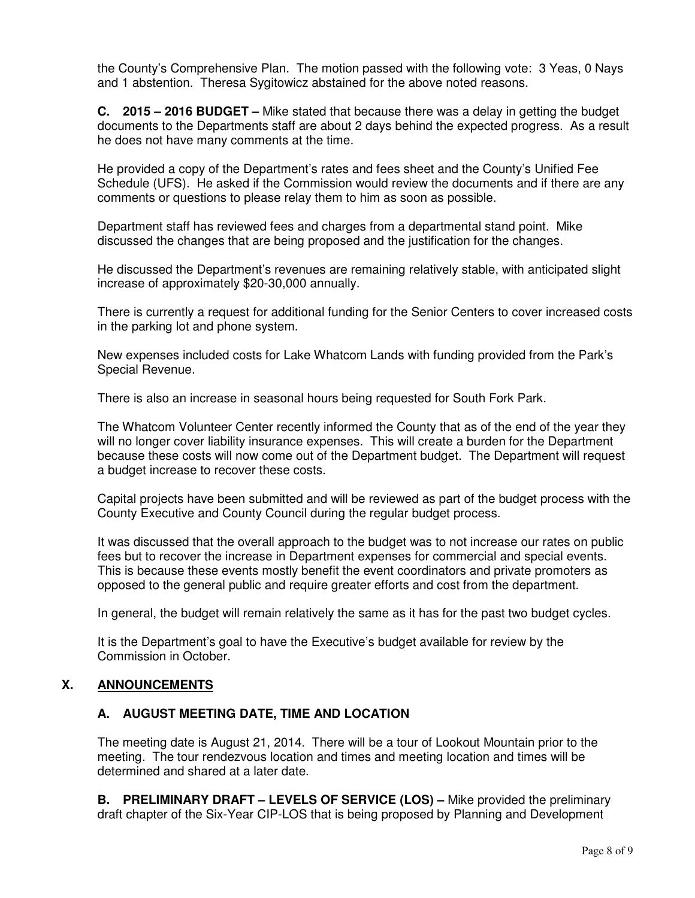the County's Comprehensive Plan. The motion passed with the following vote: 3 Yeas, 0 Nays and 1 abstention. Theresa Sygitowicz abstained for the above noted reasons.

**C. 2015 – 2016 BUDGET –** Mike stated that because there was a delay in getting the budget documents to the Departments staff are about 2 days behind the expected progress. As a result he does not have many comments at the time.

He provided a copy of the Department's rates and fees sheet and the County's Unified Fee Schedule (UFS). He asked if the Commission would review the documents and if there are any comments or questions to please relay them to him as soon as possible.

Department staff has reviewed fees and charges from a departmental stand point. Mike discussed the changes that are being proposed and the justification for the changes.

He discussed the Department's revenues are remaining relatively stable, with anticipated slight increase of approximately \$20-30,000 annually.

There is currently a request for additional funding for the Senior Centers to cover increased costs in the parking lot and phone system.

New expenses included costs for Lake Whatcom Lands with funding provided from the Park's Special Revenue.

There is also an increase in seasonal hours being requested for South Fork Park.

The Whatcom Volunteer Center recently informed the County that as of the end of the year they will no longer cover liability insurance expenses. This will create a burden for the Department because these costs will now come out of the Department budget. The Department will request a budget increase to recover these costs.

Capital projects have been submitted and will be reviewed as part of the budget process with the County Executive and County Council during the regular budget process.

It was discussed that the overall approach to the budget was to not increase our rates on public fees but to recover the increase in Department expenses for commercial and special events. This is because these events mostly benefit the event coordinators and private promoters as opposed to the general public and require greater efforts and cost from the department.

In general, the budget will remain relatively the same as it has for the past two budget cycles.

It is the Department's goal to have the Executive's budget available for review by the Commission in October.

## **X. ANNOUNCEMENTS**

## **A. AUGUST MEETING DATE, TIME AND LOCATION**

The meeting date is August 21, 2014. There will be a tour of Lookout Mountain prior to the meeting. The tour rendezvous location and times and meeting location and times will be determined and shared at a later date.

**B. PRELIMINARY DRAFT – LEVELS OF SERVICE (LOS) –** Mike provided the preliminary draft chapter of the Six-Year CIP-LOS that is being proposed by Planning and Development